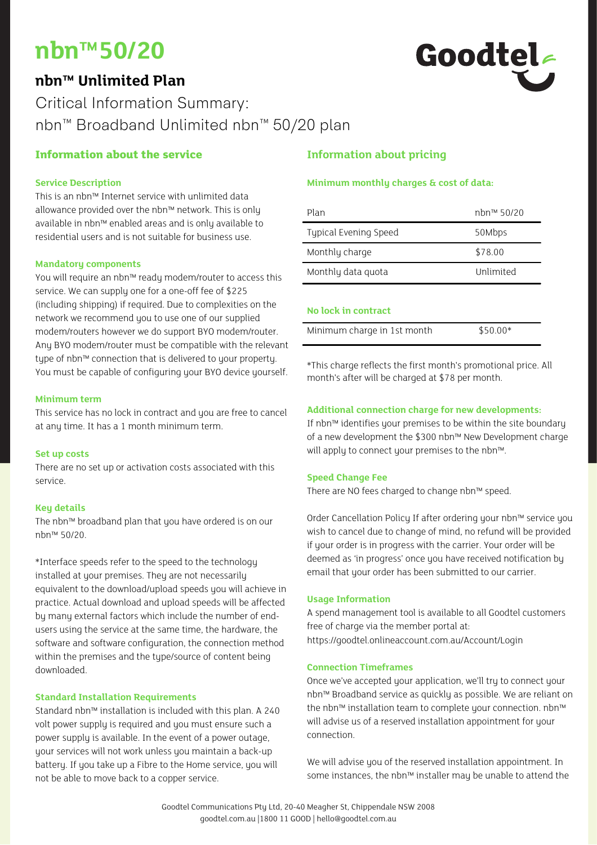## **nbn™50/20**

### **nbn™ Unlimited Plan**

# Goodtel

## Critical Information Summary: nbn™ Broadband Unlimited nbn™ 50/20 plan

#### **Information about the service**

#### **Service Description**

This is an nbn™ Internet service with unlimited data allowance provided over the nbn™ network. This is only available in nbn™ enabled areas and is only available to residential users and is not suitable for business use.

#### **Mandatory components**

You will require an nbn™ ready modem/router to access this service. We can supply one for a one-off fee of \$225 (including shipping) if required. Due to complexities on the network we recommend you to use one of our supplied modem/routers however we do support BYO modem/router. Any BYO modem/router must be compatible with the relevant type of nbn™ connection that is delivered to your property. You must be capable of configuring your BYO device yourself.

#### **Minimum term**

This service has no lock in contract and you are free to cancel at any time. It has a 1 month minimum term.

#### **Set up costs**

There are no set up or activation costs associated with this service.

#### **Key details**

The nbn™ broadband plan that you have ordered is on our nbn™ 50/20.

\*Interface speeds refer to the speed to the technology installed at your premises. They are not necessarily equivalent to the download/upload speeds you will achieve in practice. Actual download and upload speeds will be affected by many external factors which include the number of endusers using the service at the same time, the hardware, the software and software configuration, the connection method within the premises and the type/source of content being downloaded.

#### **Standard Installation Requirements**

Standard nbn™ installation is included with this plan. A 240 volt power supply is required and you must ensure such a power supply is available. In the event of a power outage, your services will not work unless you maintain a back-up battery. If you take up a Fibre to the Home service, you will not be able to move back to a copper service.

#### **Information about pricing**

#### **Minimum monthly charges & cost of data:**

| Plan                         | nhn™ 50/20 |
|------------------------------|------------|
| <b>Typical Evening Speed</b> | 50Mbps     |
| Monthly charge               | \$78.00    |
| Monthly data quota           | Unlimited  |
|                              |            |

#### **No lock in contract**

| Minimum charge in 1st month | $$50.00*$ |
|-----------------------------|-----------|
|                             |           |

\*This charge reflects the first month's promotional price. All month's after will be charged at \$78 per month.

#### **Additional connection charge for new developments:**

If nbn™ identifies your premises to be within the site boundary of a new development the \$300 nbn™ New Development charge will apply to connect your premises to the nbn™.

#### **Speed Change Fee**

There are NO fees charged to change nbn™ speed.

Order Cancellation Policy If after ordering your nbn™ service you wish to cancel due to change of mind, no refund will be provided if your order is in progress with the carrier. Your order will be deemed as 'in progress' once you have received notification by email that your order has been submitted to our carrier.

#### **Usage Information**

A spend management tool is available to all Goodtel customers free of charge via the member portal at: https://goodtel.onlineaccount.com.au/Account/Login

#### **Connection Timeframes**

Once we've accepted your application, we'll try to connect your nbn™ Broadband service as quickly as possible. We are reliant on the nbn™ installation team to complete your connection. nbn™ will advise us of a reserved installation appointment for your connection.

We will advise you of the reserved installation appointment. In some instances, the nbn™ installer may be unable to attend the